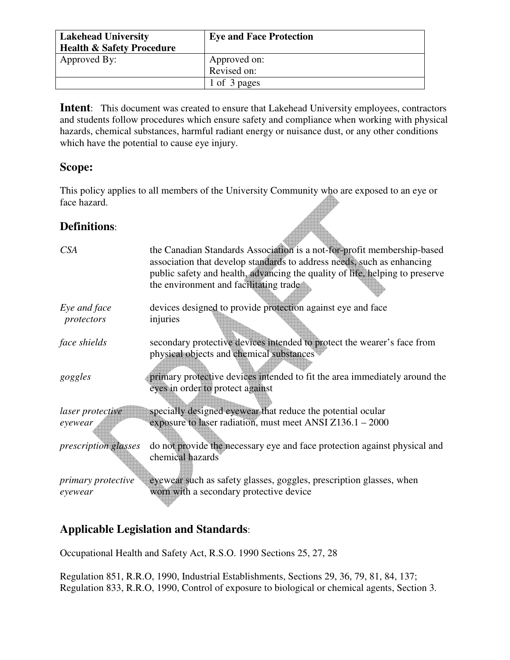| <b>Lakehead University</b><br><b>Health &amp; Safety Procedure</b> | <b>Eye and Face Protection</b> |
|--------------------------------------------------------------------|--------------------------------|
| Approved By:                                                       | Approved on:                   |
|                                                                    | Revised on:                    |
|                                                                    | 1 of 3 pages                   |

**Intent**: This document was created to ensure that Lakehead University employees, contractors and students follow procedures which ensure safety and compliance when working with physical hazards, chemical substances, harmful radiant energy or nuisance dust, or any other conditions which have the potential to cause eye injury.

## **Scope:**

This policy applies to all members of the University Community who are exposed to an eye or face hazard.

## **Definitions**:

| CSA                        | the Canadian Standards Association is a not-for-profit membership-based<br>association that develop standards to address needs, such as enhancing<br>public safety and health, advancing the quality of life, helping to preserve<br>the environment and facilitating trade |
|----------------------------|-----------------------------------------------------------------------------------------------------------------------------------------------------------------------------------------------------------------------------------------------------------------------------|
| Eye and face<br>protectors | devices designed to provide protection against eye and face<br>injuries                                                                                                                                                                                                     |
| face shields               | secondary protective devices intended to protect the wearer's face from<br>physical objects and chemical substances                                                                                                                                                         |
| goggles                    | primary protective devices intended to fit the area immediately around the<br>eyes in order to protect against                                                                                                                                                              |
| <i>laser protective</i>    | specially designed eyewear that reduce the potential ocular                                                                                                                                                                                                                 |
| eyewear                    | exposure to laser radiation, must meet ANSI $Z136.1 - 2000$                                                                                                                                                                                                                 |
| prescription glasses       | do not provide the necessary eye and face protection against physical and<br>chemical hazards                                                                                                                                                                               |
| <i>primary protective</i>  | eyewear such as safety glasses, goggles, prescription glasses, when                                                                                                                                                                                                         |
| eyewear                    | worn with a secondary protective device                                                                                                                                                                                                                                     |

# **Applicable Legislation and Standards**:

Occupational Health and Safety Act, R.S.O. 1990 Sections 25, 27, 28

Regulation 851, R.R.O, 1990, Industrial Establishments, Sections 29, 36, 79, 81, 84, 137; Regulation 833, R.R.O, 1990, Control of exposure to biological or chemical agents, Section 3.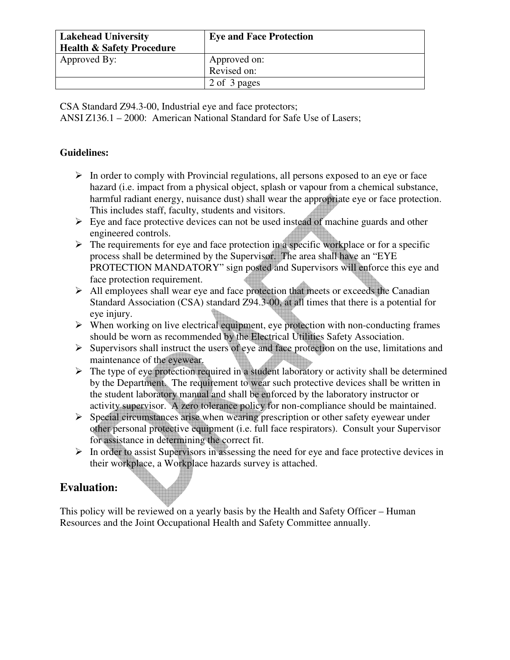| <b>Lakehead University</b><br><b>Health &amp; Safety Procedure</b> | <b>Eye and Face Protection</b> |
|--------------------------------------------------------------------|--------------------------------|
| Approved By:                                                       | Approved on:                   |
|                                                                    | Revised on:                    |
|                                                                    | 2 of 3 pages                   |

CSA Standard Z94.3-00, Industrial eye and face protectors;

ANSI Z136.1 – 2000: American National Standard for Safe Use of Lasers;

#### **Guidelines:**

- $\triangleright$  In order to comply with Provincial regulations, all persons exposed to an eye or face hazard (i.e. impact from a physical object, splash or vapour from a chemical substance, harmful radiant energy, nuisance dust) shall wear the appropriate eye or face protection. This includes staff, faculty, students and visitors.
- $\triangleright$  Eye and face protective devices can not be used instead of machine guards and other engineered controls.
- $\triangleright$  The requirements for eye and face protection in a specific workplace or for a specific process shall be determined by the Supervisor. The area shall have an "EYE PROTECTION MANDATORY" sign posted and Supervisors will enforce this eye and face protection requirement.
- $\triangleright$  All employees shall wear eye and face protection that meets or exceeds the Canadian Standard Association (CSA) standard Z94.3-00, at all times that there is a potential for eye injury.
- $\triangleright$  When working on live electrical equipment, eye protection with non-conducting frames should be worn as recommended by the Electrical Utilities Safety Association.
- $\triangleright$  Supervisors shall instruct the users of eye and face protection on the use, limitations and maintenance of the eyewear.
- $\triangleright$  The type of eye protection required in a student laboratory or activity shall be determined by the Department. The requirement to wear such protective devices shall be written in the student laboratory manual and shall be enforced by the laboratory instructor or activity supervisor. A zero tolerance policy for non-compliance should be maintained.
- $\triangleright$  Special circumstances arise when wearing prescription or other safety eyewear under other personal protective equipment (i.e. full face respirators). Consult your Supervisor for assistance in determining the correct fit.
- $\triangleright$  In order to assist Supervisors in assessing the need for eye and face protective devices in their workplace, a Workplace hazards survey is attached.

# **Evaluation:**

This policy will be reviewed on a yearly basis by the Health and Safety Officer – Human Resources and the Joint Occupational Health and Safety Committee annually.